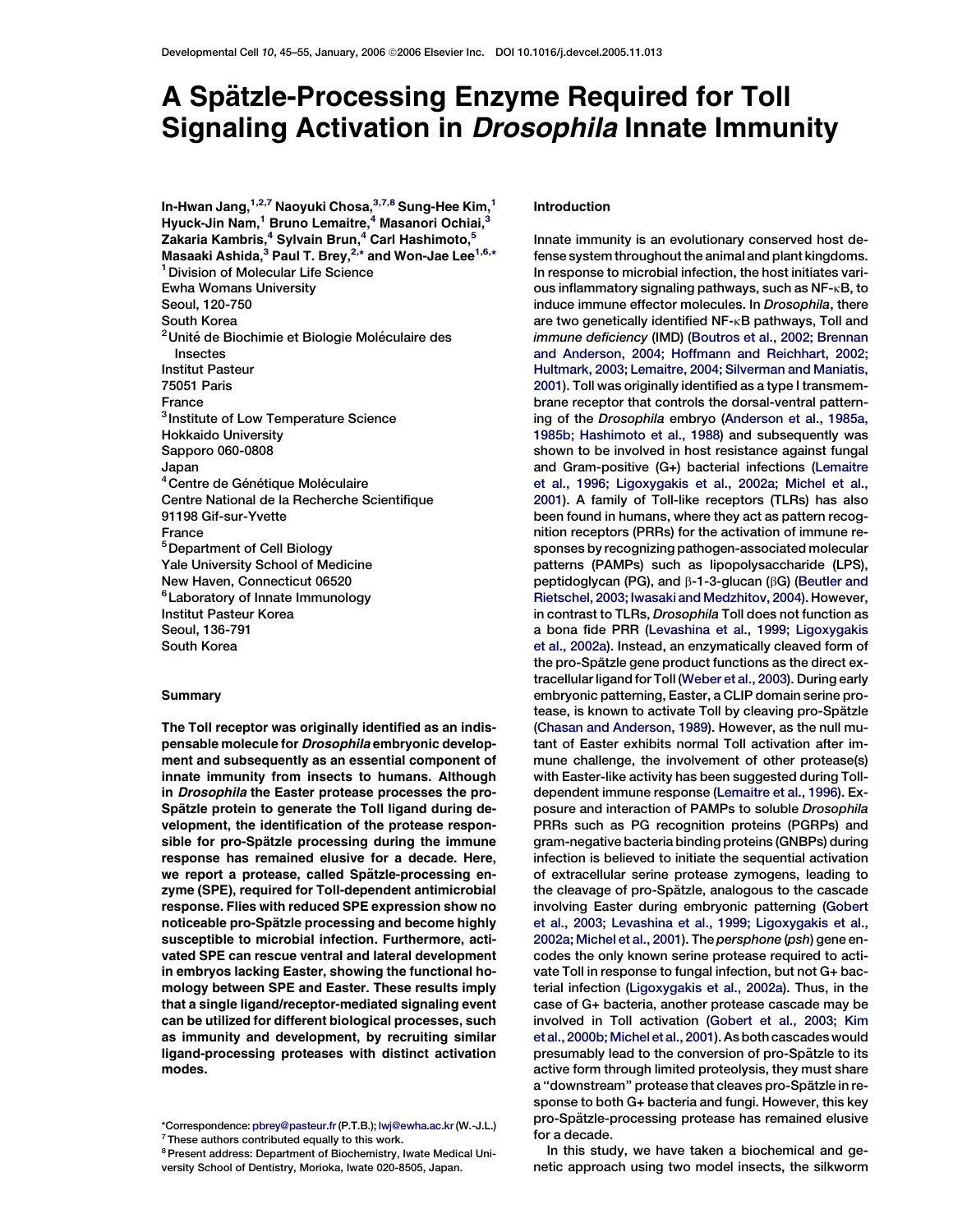# A Spätzle-Processing Enzyme Required for Toll Signaling Activation in *Drosophila* Innate Immunity

In-Hwan Jang, $^{1,2,7}$  Naoyuki Chosa, $^{3,7,8}$  Sung-Hee Kim, $^1$ Hyuck-Jin Nam,<sup>1</sup> Bruno Lemaitre,<sup>4</sup> Masanori Ochiai,<sup>3</sup> Zakaria Kambris,<sup>4</sup> Sylvain Brun,<sup>4</sup> Carl Hashimoto,<sup>5</sup> Masaaki Ashida,<sup>3</sup> Paul T. Brey,<sup>2,\*</sup> and Won-Jae Lee<sup>1,6,\*</sup> <sup>1</sup> Division of Molecular Life Science Ewha Womans University Seoul, 120-750 South Korea <sup>2</sup> Unité de Biochimie et Biologie Moléculaire des Insectes Institut Pasteur 75051 Paris France <sup>3</sup> Institute of Low Temperature Science Hokkaido University Sapporo 060-0808 Japan <sup>4</sup> Centre de Génétique Moléculaire Centre National de la Recherche Scientifique 91198 Gif-sur-Yvette France 5Department of Cell Biology Yale University School of Medicine New Haven, Connecticut 06520 6Laboratory of Innate Immunology Institut Pasteur Korea Seoul, 136-791 South Korea

## **Summary**

The Toll receptor was originally identified as an indispensable molecule for Drosophila embryonic development and subsequently as an essential component of innate immunity from insects to humans. Although in Drosophila the Easter protease processes the pro-Spätzle protein to generate the Toll ligand during development, the identification of the protease responsible for pro-Spätzle processing during the immune response has remained elusive for a decade. Here, we report a protease, called Spätzle-processing enzyme (SPE), required for Toll-dependent antimicrobial response. Flies with reduced SPE expression show no noticeable pro-Spätzle processing and become highly susceptible to microbial infection. Furthermore, activated SPE can rescue ventral and lateral development in embryos lacking Easter, showing the functional homology between SPE and Easter. These results imply that a single ligand/receptor-mediated signaling event can be utilized for different biological processes, such as immunity and development, by recruiting similar ligand-processing proteases with distinct activation modes.

## Introduction

Innate immunity is an evolutionary conserved host defense system throughout the animal and plant kingdoms. In response to microbial infection, the host initiates various inflammatory signaling pathways, such as NF-kB, to induce immune effector molecules. In Drosophila, there are two genetically identified NF-KB pathways, Toll and immune deficiency (IMD) [\(Boutros et al., 2002; Brennan](#page-8-0) [and Anderson, 2004; Hoffmann and Reichhart, 2002;](#page-8-0) [Hultmark, 2003; Lemaitre, 2004; Silverman and Maniatis,](#page-8-0) [2001\)](#page-8-0). Toll was originally identified as a type I transmembrane receptor that controls the dorsal-ventral patterning of the Drosophila embryo ([Anderson et al., 1985a,](#page-8-0) [1985b; Hashimoto et al., 1988\)](#page-8-0) and subsequently was shown to be involved in host resistance against fungal and Gram-positive (G+) bacterial infections [\(Lemaitre](#page-9-0) [et al., 1996; Ligoxygakis et al., 2002a; Michel et al.,](#page-9-0) [2001\)](#page-9-0). A family of Toll-like receptors (TLRs) has also been found in humans, where they act as pattern recognition receptors (PRRs) for the activation of immune responses by recognizing pathogen-associated molecular patterns (PAMPs) such as lipopolysaccharide (LPS), peptidoglycan (PG), and  $\beta$ -1-3-glucan ( $\beta$ G) ([Beutler and](#page-8-0) [Rietschel, 2003; Iwasaki and Medzhitov, 2004](#page-8-0)). However, in contrast to TLRs, Drosophila Toll does not function as a bona fide PRR ([Levashina et al., 1999; Ligoxygakis](#page-9-0) [et al., 2002a\)](#page-9-0). Instead, an enzymatically cleaved form of the pro-Spätzle gene product functions as the direct extracellular ligand for Toll [\(Weber et al., 2003\)](#page-10-0). During early embryonic patterning, Easter, a CLIP domain serine protease, is known to activate Toll by cleaving pro-Spätzle [\(Chasan and Anderson, 1989\)](#page-8-0). However, as the null mutant of Easter exhibits normal Toll activation after immune challenge, the involvement of other protease(s) with Easter-like activity has been suggested during Tolldependent immune response ([Lemaitre et al., 1996](#page-9-0)). Exposure and interaction of PAMPs to soluble Drosophila PRRs such as PG recognition proteins (PGRPs) and gram-negative bacteria binding proteins (GNBPs) during infection is believed to initiate the sequential activation of extracellular serine protease zymogens, leading to the cleavage of pro-Spätzle, analogous to the cascade involving Easter during embryonic patterning ([Gobert](#page-9-0) [et al., 2003; Levashina et al., 1999; Ligoxygakis et al.,](#page-9-0) [2002a; Michel et al., 2001](#page-9-0)). The persphone (psh) gene encodes the only known serine protease required to activate Toll in response to fungal infection, but not G+ bacterial infection ([Ligoxygakis et al., 2002a](#page-9-0)). Thus, in the case of G+ bacteria, another protease cascade may be involved in Toll activation [\(Gobert et al., 2003; Kim](#page-9-0) [et al., 2000b; Michel et al., 2001](#page-9-0)). As both cascades would presumably lead to the conversion of pro-Spätzle to its active form through limited proteolysis, they must share a "downstream" protease that cleaves pro-Spätzle in response to both G+ bacteria and fungi. However, this key pro-Spätzle-processing protease has remained elusive for a decade.

In this study, we have taken a biochemical and genetic approach using two model insects, the silkworm

<sup>\*</sup>Correspondence: [pbrey@pasteur.fr](mailto:pbrey@pasteur.fr)(P.T.B.); [lwj@ewha.ac.kr](mailto:lwj@ewha.ac.kr)(W.-J.L.)

 $7$ These authors contributed equally to this work.

<sup>8</sup>Present address: Department of Biochemistry, Iwate Medical University School of Dentistry, Morioka, Iwate 020-8505, Japan.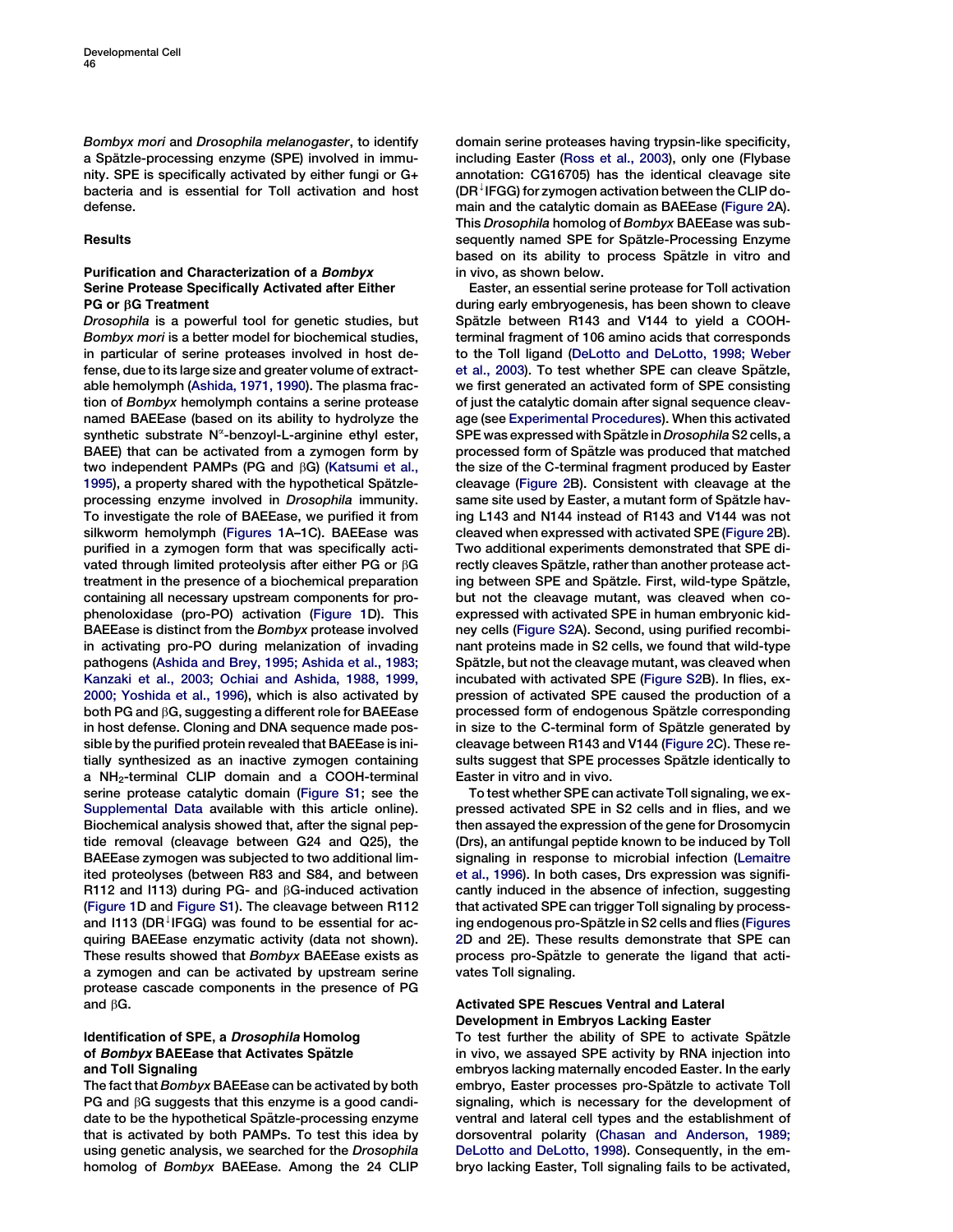<span id="page-1-0"></span>Bombyx mori and Drosophila melanogaster, to identify a Spätzle-processing enzyme (SPE) involved in immunity. SPE is specifically activated by either fungi or G+ bacteria and is essential for Toll activation and host defense.

# **Results**

# Purification and Characterization of a Bombyx Serine Protease Specifically Activated after Either PG or *b*G Treatment

Drosophila is a powerful tool for genetic studies, but Bombyx mori is a better model for biochemical studies, in particular of serine proteases involved in host defense, due to its large size and greater volume of extractable hemolymph [\(Ashida, 1971, 1990](#page-8-0)). The plasma fraction of Bombyx hemolymph contains a serine protease named BAEEase (based on its ability to hydrolyze the synthetic substrate N<sup>«</sup>-benzoyl-L-arginine ethyl ester, BAEE) that can be activated from a zymogen form by two independent PAMPs (PG and  $\beta$ G) [\(Katsumi et al.,](#page-9-0) [1995\)](#page-9-0), a property shared with the hypothetical Spätzleprocessing enzyme involved in Drosophila immunity. To investigate the role of BAEEase, we purified it from silkworm hemolymph ([Figures 1](#page-2-0)A–1C). BAEEase was purified in a zymogen form that was specifically activated through limited proteolysis after either PG or  $\beta G$ treatment in the presence of a biochemical preparation containing all necessary upstream components for prophenoloxidase (pro-PO) activation [\(Figure 1](#page-2-0)D). This BAEEase is distinct from the Bombyx protease involved in activating pro-PO during melanization of invading pathogens [\(Ashida and Brey, 1995; Ashida et al., 1983;](#page-8-0) [Kanzaki et al., 2003; Ochiai and Ashida, 1988, 1999,](#page-8-0) [2000; Yoshida et al., 1996](#page-8-0)), which is also activated by both PG and  $\beta G$ , suggesting a different role for BAEEase in host defense. Cloning and DNA sequence made possible by the purified protein revealed that BAEEase is initially synthesized as an inactive zymogen containing a NH2-terminal CLIP domain and a COOH-terminal serine protease catalytic domain (Figure S1; see the Supplemental Data available with this article online). Biochemical analysis showed that, after the signal peptide removal (cleavage between G24 and Q25), the BAEEase zymogen was subjected to two additional limited proteolyses (between R83 and S84, and between R112 and I113) during PG- and  $\beta$ G-induced activation [\(Figure 1D](#page-2-0) and Figure S1). The cleavage between R112 and I113 (DR<sup> $\downarrow$ </sup>IFGG) was found to be essential for acquiring BAEEase enzymatic activity (data not shown). These results showed that Bombyx BAEEase exists as a zymogen and can be activated by upstream serine protease cascade components in the presence of PG and  $\beta G$ .

# Identification of SPE, a Drosophila Homolog of Bombyx BAEEase that Activates Spätzle and Toll Signaling

The fact that Bombyx BAEEase can be activated by both PG and  $\beta$ G suggests that this enzyme is a good candidate to be the hypothetical Spätzle-processing enzyme that is activated by both PAMPs. To test this idea by using genetic analysis, we searched for the Drosophila homolog of Bombyx BAEEase. Among the 24 CLIP domain serine proteases having trypsin-like specificity, including Easter [\(Ross et al., 2003\)](#page-9-0), only one (Flybase annotation: CG16705) has the identical cleavage site  $(DR<sup>1</sup>IFGG)$  for zymogen activation between the CLIP domain and the catalytic domain as BAEEase ([Figure 2A](#page-3-0)). This Drosophila homolog of Bombyx BAEEase was subsequently named SPE for Spätzle-Processing Enzyme based on its ability to process Spätzle in vitro and in vivo, as shown below.

Easter, an essential serine protease for Toll activation during early embryogenesis, has been shown to cleave Spätzle between R143 and V144 to yield a COOHterminal fragment of 106 amino acids that corresponds to the Toll ligand ([DeLotto and DeLotto, 1998; Weber](#page-9-0) [et al., 2003](#page-9-0)). To test whether SPE can cleave Spätzle, we first generated an activated form of SPE consisting of just the catalytic domain after signal sequence cleavage (see [Experimental Procedures](#page-7-0)). When this activated SPE was expressed with Spätzle in Drosophila S2 cells, a processed form of Spätzle was produced that matched the size of the C-terminal fragment produced by Easter cleavage ([Figure 2B](#page-3-0)). Consistent with cleavage at the same site used by Easter, a mutant form of Spätzle having L143 and N144 instead of R143 and V144 was not cleaved when expressed with activated SPE [\(Figure 2](#page-3-0)B). Two additional experiments demonstrated that SPE directly cleaves Spätzle, rather than another protease acting between SPE and Spätzle. First, wild-type Spätzle, but not the cleavage mutant, was cleaved when coexpressed with activated SPE in human embryonic kidney cells (Figure S2A). Second, using purified recombinant proteins made in S2 cells, we found that wild-type Spätzle, but not the cleavage mutant, was cleaved when incubated with activated SPE (Figure S2B). In flies, expression of activated SPE caused the production of a processed form of endogenous Spätzle corresponding in size to the C-terminal form of Spätzle generated by cleavage between R143 and V144 [\(Figure 2C](#page-3-0)). These results suggest that SPE processes Spätzle identically to Easter in vitro and in vivo.

To test whether SPE can activate Toll signaling, we expressed activated SPE in S2 cells and in flies, and we then assayed the expression of the gene for Drosomycin (Drs), an antifungal peptide known to be induced by Toll signaling in response to microbial infection ([Lemaitre](#page-9-0) [et al., 1996\)](#page-9-0). In both cases, Drs expression was significantly induced in the absence of infection, suggesting that activated SPE can trigger Toll signaling by process-ing endogenous pro-Spätzle in S2 cells and flies [\(Figures](#page-3-0) [2D](#page-3-0) and 2E). These results demonstrate that SPE can process pro-Spätzle to generate the ligand that activates Toll signaling.

# Activated SPE Rescues Ventral and Lateral Development in Embryos Lacking Easter

To test further the ability of SPE to activate Spätzle in vivo, we assayed SPE activity by RNA injection into embryos lacking maternally encoded Easter. In the early embryo, Easter processes pro-Spätzle to activate Toll signaling, which is necessary for the development of ventral and lateral cell types and the establishment of dorsoventral polarity [\(Chasan and Anderson, 1989;](#page-8-0) [DeLotto and DeLotto, 1998](#page-8-0)). Consequently, in the embryo lacking Easter, Toll signaling fails to be activated,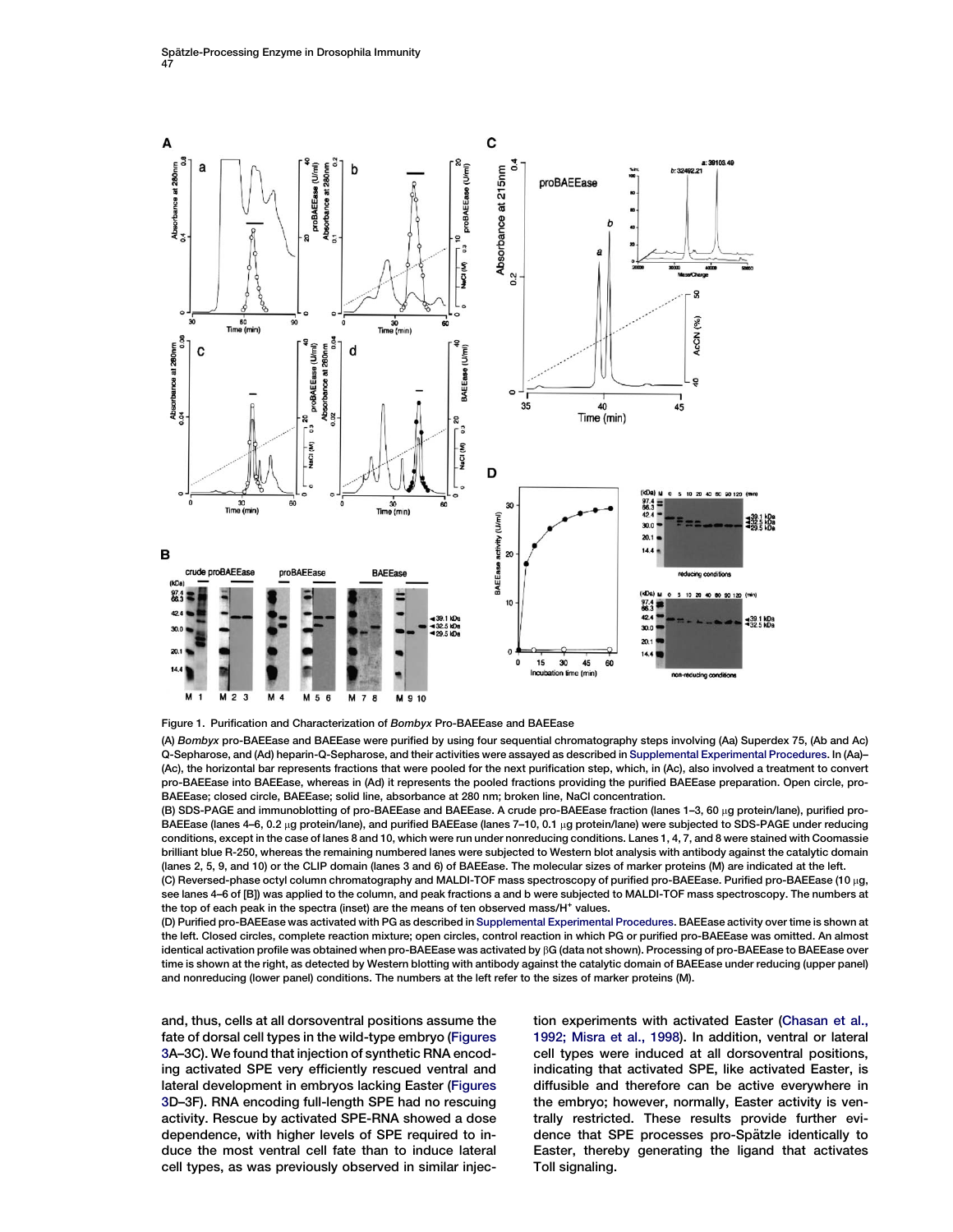<span id="page-2-0"></span>



(A) Bombyx pro-BAEEase and BAEEase were purified by using four sequential chromatography steps involving (Aa) Superdex 75, (Ab and Ac) Q-Sepharose, and (Ad) heparin-Q-Sepharose, and their activities were assayed as described in Supplemental Experimental Procedures. In (Aa)– (Ac), the horizontal bar represents fractions that were pooled for the next purification step, which, in (Ac), also involved a treatment to convert pro-BAEEase into BAEEase, whereas in (Ad) it represents the pooled fractions providing the purified BAEEase preparation. Open circle, pro-BAEEase; closed circle, BAEEase; solid line, absorbance at 280 nm; broken line, NaCl concentration.

(B) SDS-PAGE and immunoblotting of pro-BAEEase and BAEEase. A crude pro-BAEEase fraction (lanes 1-3, 60 µg protein/lane), purified pro-BAEEase (lanes 4–6, 0.2 µg protein/lane), and purified BAEEase (lanes 7–10, 0.1 µg protein/lane) were subjected to SDS-PAGE under reducing conditions, except in the case of lanes 8 and 10, which were run under nonreducing conditions. Lanes 1, 4, 7, and 8 were stained with Coomassie brilliant blue R-250, whereas the remaining numbered lanes were subjected to Western blot analysis with antibody against the catalytic domain (lanes 2, 5, 9, and 10) or the CLIP domain (lanes 3 and 6) of BAEEase. The molecular sizes of marker proteins (M) are indicated at the left.

(C) Reversed-phase octyl column chromatography and MALDI-TOF mass spectroscopy of purified pro-BAEEase. Purified pro-BAEEase (10 mg, see lanes 4–6 of [B]) was applied to the column, and peak fractions a and b were subjected to MALDI-TOF mass spectroscopy. The numbers at the top of each peak in the spectra (inset) are the means of ten observed mass/H<sup>+</sup> values.

(D) Purified pro-BAEEase was activated with PG as described in Supplemental Experimental Procedures. BAEEase activity over time is shown at the left. Closed circles, complete reaction mixture; open circles, control reaction in which PG or purified pro-BAEEase was omitted. An almost identical activation profile was obtained when pro-BAEEase was activated by bG (data not shown). Processing of pro-BAEEase to BAEEase over time is shown at the right, as detected by Western blotting with antibody against the catalytic domain of BAEEase under reducing (upper panel) and nonreducing (lower panel) conditions. The numbers at the left refer to the sizes of marker proteins (M).

and, thus, cells at all dorsoventral positions assume the fate of dorsal cell types in the wild-type embryo ([Figures](#page-4-0) [3A](#page-4-0)–3C). We found that injection of synthetic RNA encoding activated SPE very efficiently rescued ventral and lateral development in embryos lacking Easter ([Figures](#page-4-0) [3D](#page-4-0)–3F). RNA encoding full-length SPE had no rescuing activity. Rescue by activated SPE-RNA showed a dose dependence, with higher levels of SPE required to induce the most ventral cell fate than to induce lateral cell types, as was previously observed in similar injection experiments with activated Easter ([Chasan et al.,](#page-9-0) [1992; Misra et al., 1998\)](#page-9-0). In addition, ventral or lateral cell types were induced at all dorsoventral positions, indicating that activated SPE, like activated Easter, is diffusible and therefore can be active everywhere in the embryo; however, normally, Easter activity is ventrally restricted. These results provide further evidence that SPE processes pro-Spätzle identically to Easter, thereby generating the ligand that activates Toll signaling.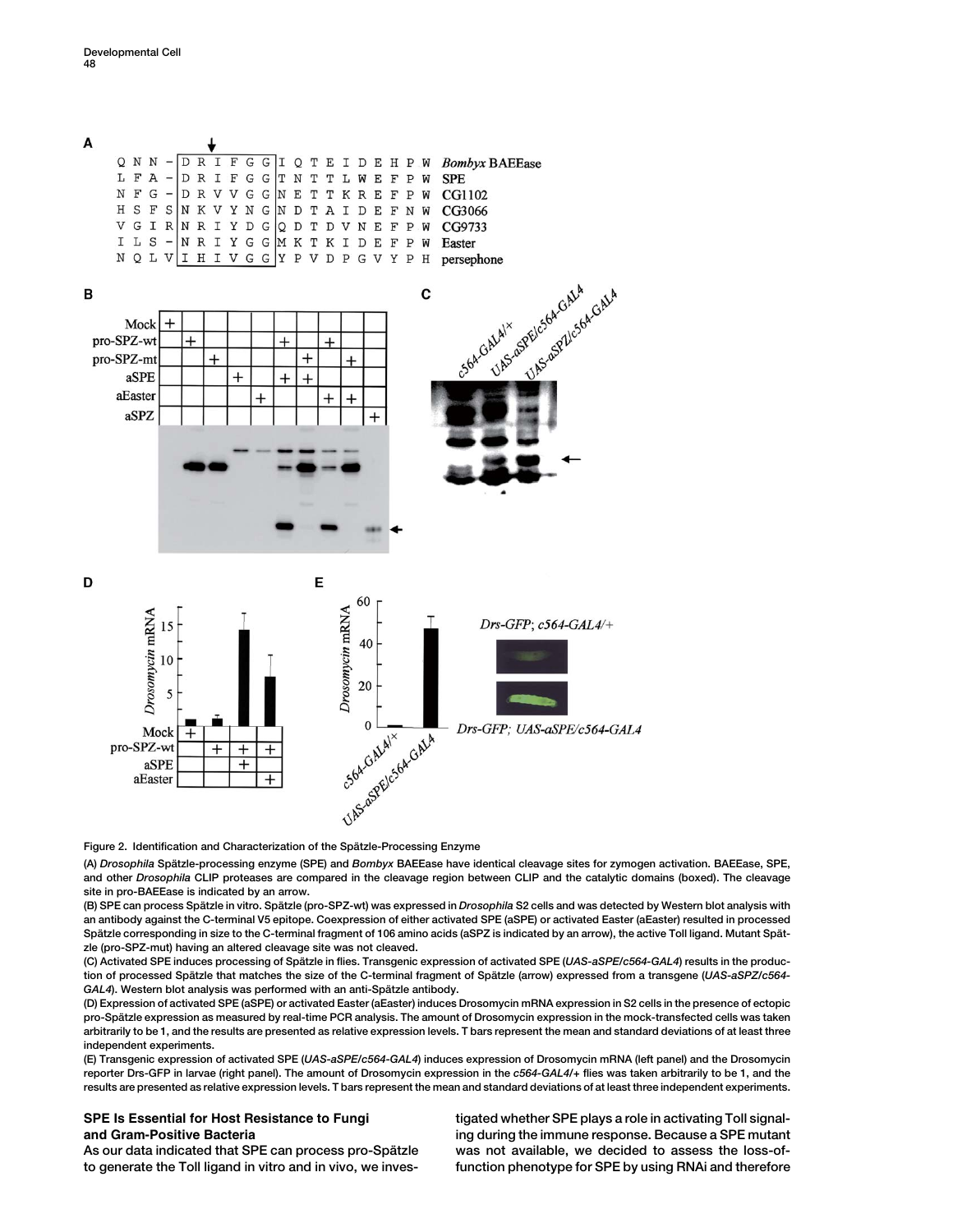<span id="page-3-0"></span>

Figure 2. Identification and Characterization of the Spätzle-Processing Enzyme

(A) Drosophila Spätzle-processing enzyme (SPE) and Bombyx BAEEase have identical cleavage sites for zymogen activation. BAEEase, SPE, and other Drosophila CLIP proteases are compared in the cleavage region between CLIP and the catalytic domains (boxed). The cleavage site in pro-BAEEase is indicated by an arrow.

(B) SPE can process Spätzle in vitro. Spätzle (pro-SPZ-wt) was expressed in Drosophila S2 cells and was detected by Western blot analysis with an antibody against the C-terminal V5 epitope. Coexpression of either activated SPE (aSPE) or activated Easter (aEaster) resulted in processed Spätzle corresponding in size to the C-terminal fragment of 106 amino acids (aSPZ is indicated by an arrow), the active Toll ligand. Mutant Spätzle (pro-SPZ-mut) having an altered cleavage site was not cleaved.

(C) Activated SPE induces processing of Spätzle in flies. Transgenic expression of activated SPE (UAS-aSPE/c564-GAL4) results in the production of processed Spätzle that matches the size of the C-terminal fragment of Spätzle (arrow) expressed from a transgene (UAS-aSPZ/c564-GAL4). Western blot analysis was performed with an anti-Spätzle antibody.

(D) Expression of activated SPE (aSPE) or activated Easter (aEaster) induces Drosomycin mRNA expression in S2 cells in the presence of ectopic pro-Spätzle expression as measured by real-time PCR analysis. The amount of Drosomycin expression in the mock-transfected cells was taken arbitrarily to be 1, and the results are presented as relative expression levels. T bars represent the mean and standard deviations of at least three independent experiments.

(E) Transgenic expression of activated SPE (UAS-aSPE/c564-GAL4) induces expression of Drosomycin mRNA (left panel) and the Drosomycin reporter Drs-GFP in larvae (right panel). The amount of Drosomycin expression in the c564-GAL4/+ flies was taken arbitrarily to be 1, and the results are presented as relative expression levels. T bars represent the mean and standard deviations of at least three independent experiments.

SPE Is Essential for Host Resistance to Fungi and Gram-Positive Bacteria

tigated whether SPE plays a role in activating Toll signaling during the immune response. Because a SPE mutant was not available, we decided to assess the loss-offunction phenotype for SPE by using RNAi and therefore

As our data indicated that SPE can process pro-Spätzle to generate the Toll ligand in vitro and in vivo, we inves-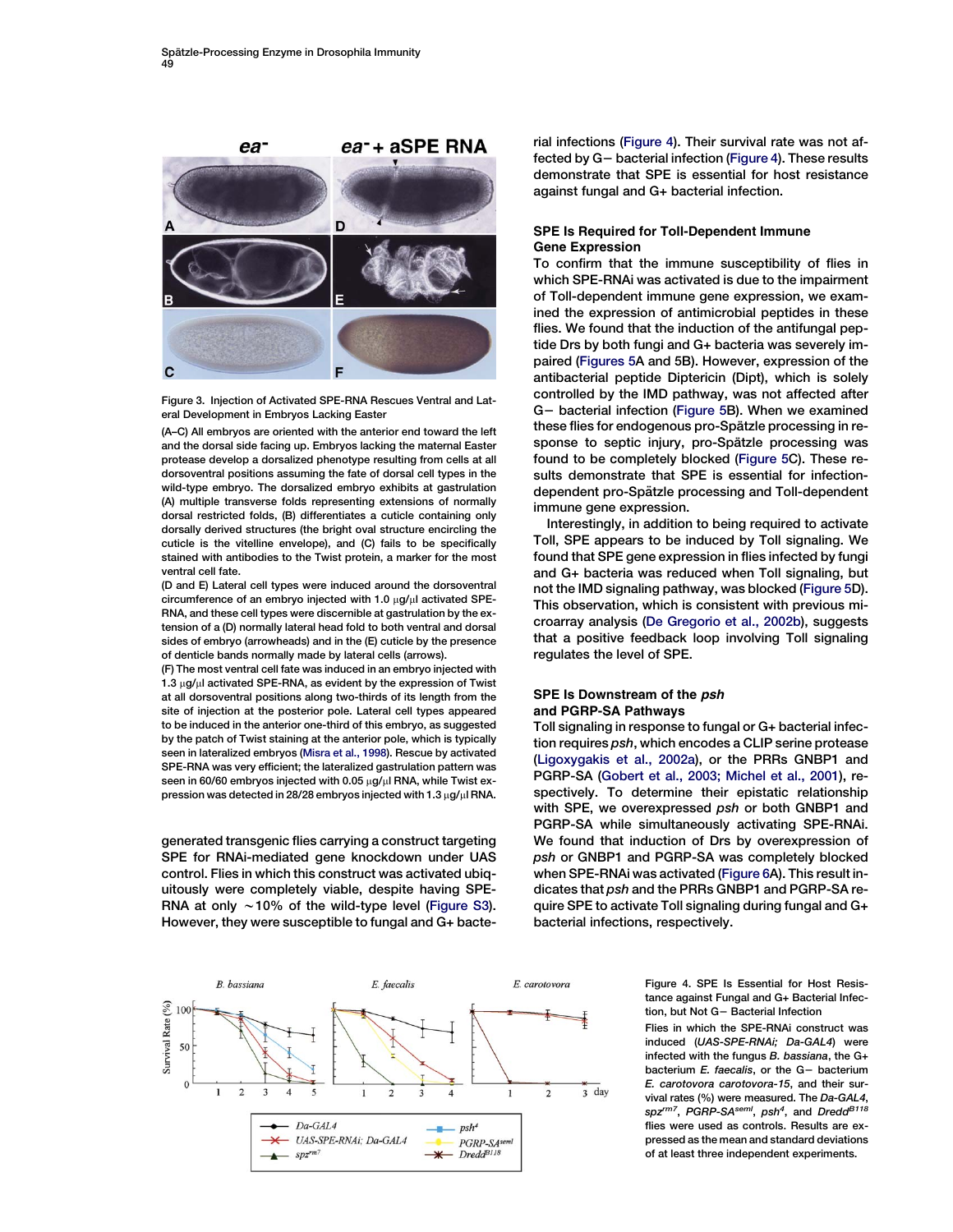<span id="page-4-0"></span>

Figure 3. Injection of Activated SPE-RNA Rescues Ventral and Lateral Development in Embryos Lacking Easter

(A–C) All embryos are oriented with the anterior end toward the left and the dorsal side facing up. Embryos lacking the maternal Easter protease develop a dorsalized phenotype resulting from cells at all dorsoventral positions assuming the fate of dorsal cell types in the wild-type embryo. The dorsalized embryo exhibits at gastrulation (A) multiple transverse folds representing extensions of normally dorsal restricted folds, (B) differentiates a cuticle containing only dorsally derived structures (the bright oval structure encircling the cuticle is the vitelline envelope), and (C) fails to be specifically stained with antibodies to the Twist protein, a marker for the most ventral cell fate.

(D and E) Lateral cell types were induced around the dorsoventral circumference of an embryo injected with 1.0  $\mu$ g/ $\mu$ l activated SPE-RNA, and these cell types were discernible at gastrulation by the extension of a (D) normally lateral head fold to both ventral and dorsal sides of embryo (arrowheads) and in the (E) cuticle by the presence of denticle bands normally made by lateral cells (arrows).

(F) The most ventral cell fate was induced in an embryo injected with  $1.3 \mu$ g/ $\mu$ l activated SPE-RNA, as evident by the expression of Twist at all dorsoventral positions along two-thirds of its length from the site of injection at the posterior pole. Lateral cell types appeared to be induced in the anterior one-third of this embryo, as suggested by the patch of Twist staining at the anterior pole, which is typically seen in lateralized embryos ([Misra et al., 1998](#page-9-0)). Rescue by activated SPE-RNA was very efficient; the lateralized gastrulation pattern was seen in 60/60 embryos injected with 0.05  $\mu$ g/ $\mu$ l RNA, while Twist expression was detected in 28/28 embryos injected with  $1.3 \mu$ g/ $\mu$ l RNA.

generated transgenic flies carrying a construct targeting SPE for RNAi-mediated gene knockdown under UAS control. Flies in which this construct was activated ubiquitously were completely viable, despite having SPE-RNA at only  $\sim$  10% of the wild-type level (Figure S3). However, they were susceptible to fungal and G+ bacte-



# SPE Is Required for Toll-Dependent Immune Gene Expression

To confirm that the immune susceptibility of flies in which SPE-RNAi was activated is due to the impairment of Toll-dependent immune gene expression, we examined the expression of antimicrobial peptides in these flies. We found that the induction of the antifungal peptide Drs by both fungi and G+ bacteria was severely impaired [\(Figures 5](#page-5-0)A and 5B). However, expression of the antibacterial peptide Diptericin (Dipt), which is solely controlled by the IMD pathway, was not affected after G- bacterial infection ([Figure 5B](#page-5-0)). When we examined these flies for endogenous pro-Spätzle processing in response to septic injury, pro-Spätzle processing was found to be completely blocked ([Figure 5C](#page-5-0)). These results demonstrate that SPE is essential for infectiondependent pro-Spätzle processing and Toll-dependent immune gene expression.

Interestingly, in addition to being required to activate Toll, SPE appears to be induced by Toll signaling. We found that SPE gene expression in flies infected by fungi and G+ bacteria was reduced when Toll signaling, but not the IMD signaling pathway, was blocked [\(Figure 5](#page-5-0)D). This observation, which is consistent with previous microarray analysis [\(De Gregorio et al., 2002b\)](#page-9-0), suggests that a positive feedback loop involving Toll signaling regulates the level of SPE.

## SPE Is Downstream of the psh and PGRP-SA Pathways

Toll signaling in response to fungal or G+ bacterial infection requires psh, which encodes a CLIP serine protease [\(Ligoxygakis et al., 2002a\)](#page-9-0), or the PRRs GNBP1 and PGRP-SA ([Gobert et al., 2003; Michel et al., 2001](#page-9-0)), respectively. To determine their epistatic relationship with SPE, we overexpressed psh or both GNBP1 and PGRP-SA while simultaneously activating SPE-RNAi. We found that induction of Drs by overexpression of psh or GNBP1 and PGRP-SA was completely blocked when SPE-RNAi was activated ([Figure 6A](#page-6-0)). This result indicates that psh and the PRRs GNBP1 and PGRP-SA require SPE to activate Toll signaling during fungal and G+ bacterial infections, respectively.

> Figure 4. SPE Is Essential for Host Resistance against Fungal and G+ Bacterial Infection, but Not G- Bacterial Infection

> Flies in which the SPE-RNAi construct was induced (UAS-SPE-RNAi; Da-GAL4) were infected with the fungus  $B$ . bassiana, the  $G+$ bacterium  $E$ . faecalis, or the  $G-$  bacterium E. carotovora carotovora-15, and their survival rates (%) were measured. The Da-GAL4, spz<sup>rm7</sup>, PGRP-SA<sup>seml</sup>, psh<sup>4</sup>, and Dredd<sup>B118</sup> flies were used as controls. Results are expressed as the mean and standard deviations of at least three independent experiments.

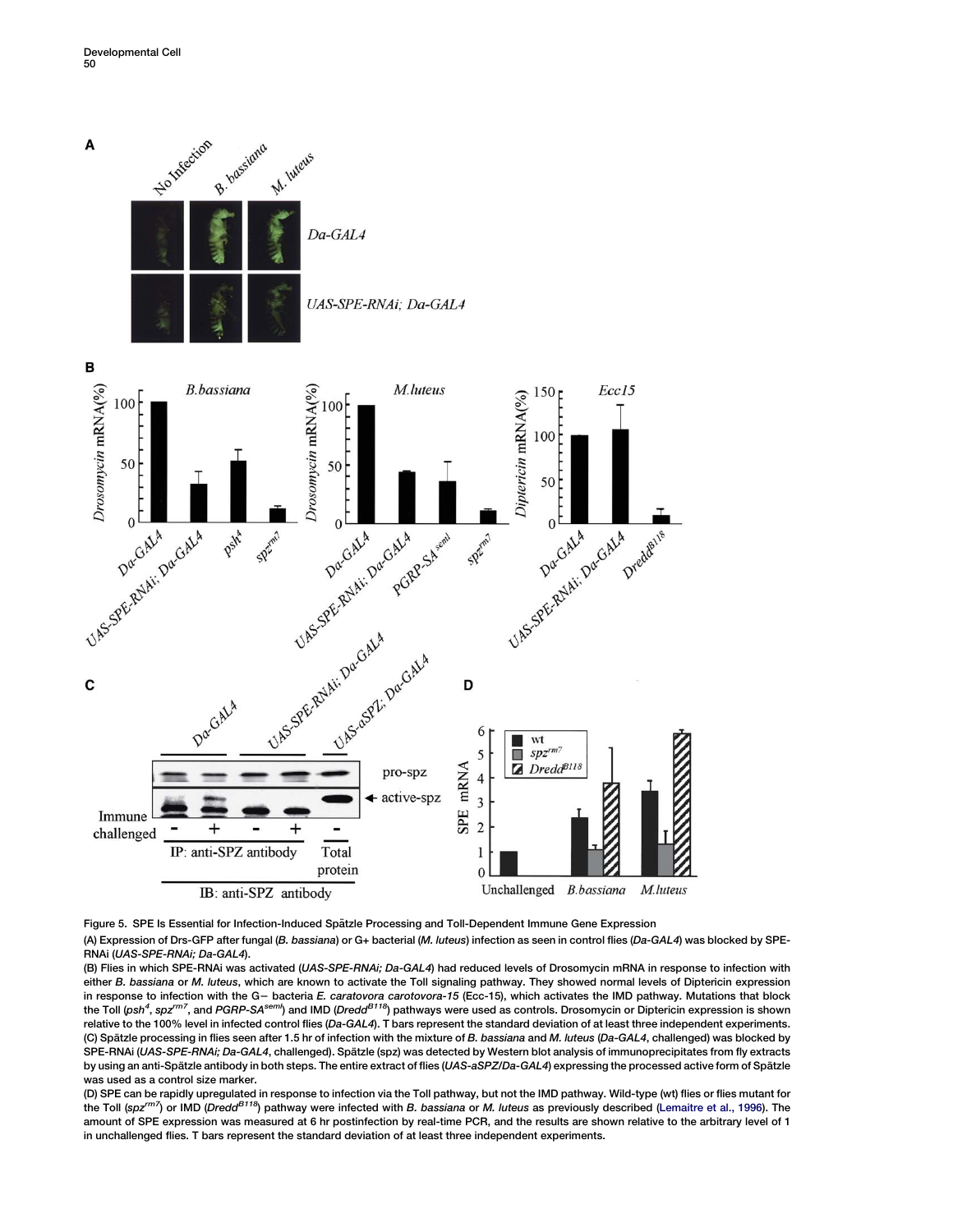<span id="page-5-0"></span>

Figure 5. SPE Is Essential for Infection-Induced Spätzle Processing and Toll-Dependent Immune Gene Expression

(A) Expression of Drs-GFP after fungal (B. bassiana) or G+ bacterial (M. luteus) infection as seen in control flies (Da-GAL4) was blocked by SPE-RNAi (UAS-SPE-RNAi; Da-GAL4).

(B) Flies in which SPE-RNAi was activated (UAS-SPE-RNAi; Da-GAL4) had reduced levels of Drosomycin mRNA in response to infection with either B. bassiana or M. luteus, which are known to activate the Toll signaling pathway. They showed normal levels of Diptericin expression in response to infection with the G- bacteria E. caratovora carotovora-15 (Ecc-15), which activates the IMD pathway. Mutations that block the Toll (ps*h<sup>4</sup>, spz<sup>rm7</sup>, and PGRP-SA<sup>seml</sup>) and IMD (Dredd<sup>B118</sup>) pathways were used as controls. Drosomycin or Diptericin expression is shown* relative to the 100% level in infected control flies (Da-GAL4). T bars represent the standard deviation of at least three independent experiments. (C) Spätzle processing in flies seen after 1.5 hr of infection with the mixture of B. bassiana and M. luteus (Da-GAL4, challenged) was blocked by SPE-RNAi (UAS-SPE-RNAi; Da-GAL4, challenged). Spätzle (spz) was detected by Western blot analysis of immunoprecipitates from fly extracts by using an anti-Spätzle antibody in both steps. The entire extract of flies (UAS-aSPZ/Da-GAL4) expressing the processed active form of Spätzle was used as a control size marker.

(D) SPE can be rapidly upregulated in response to infection via the Toll pathway, but not the IMD pathway. Wild-type (wt) flies or flies mutant for the Toll (spz<sup>rm7</sup>) or IMD (Dredd<sup>B118</sup>) pathway were infected with B. bassiana or M. luteus as previously described ([Lemaitre et al., 1996\)](#page-9-0). The amount of SPE expression was measured at 6 hr postinfection by real-time PCR, and the results are shown relative to the arbitrary level of 1 in unchallenged flies. T bars represent the standard deviation of at least three independent experiments.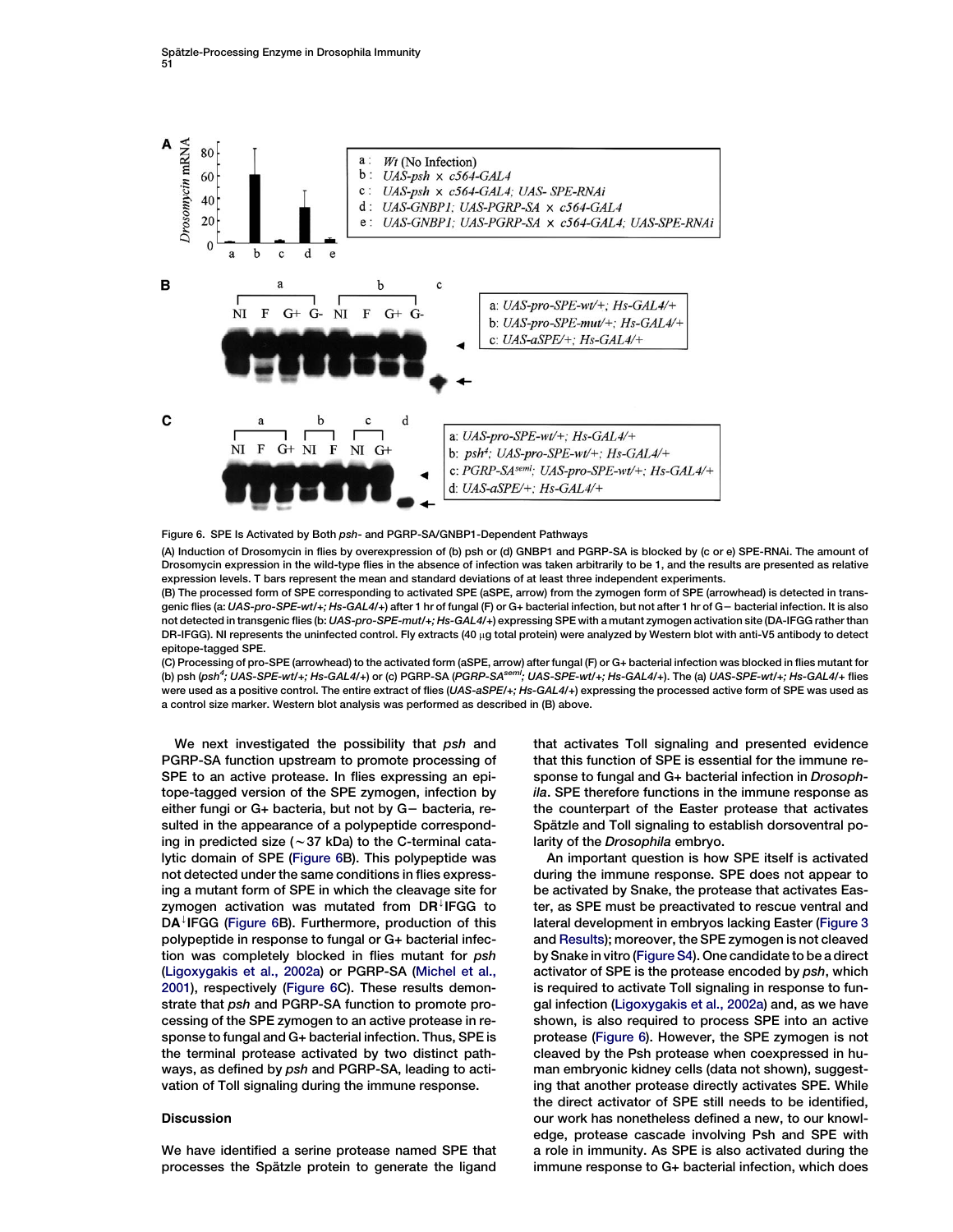<span id="page-6-0"></span>

Figure 6. SPE Is Activated by Both psh- and PGRP-SA/GNBP1-Dependent Pathways

(A) Induction of Drosomycin in flies by overexpression of (b) psh or (d) GNBP1 and PGRP-SA is blocked by (c or e) SPE-RNAi. The amount of Drosomycin expression in the wild-type flies in the absence of infection was taken arbitrarily to be 1, and the results are presented as relative expression levels. T bars represent the mean and standard deviations of at least three independent experiments.

(B) The processed form of SPE corresponding to activated SPE (aSPE, arrow) from the zymogen form of SPE (arrowhead) is detected in transgenic flies (a: UAS-pro-SPE-wt/+; Hs-GAL4/+) after 1 hr of fungal (F) or G+ bacterial infection, but not after 1 hr of G– bacterial infection. It is also not detected in transgenic flies (b: UAS-pro-SPE-mut/+; Hs-GAL4/+) expressing SPE with a mutant zymogen activation site (DA-IFGG rather than DR-IFGG). NI represents the uninfected control. Fly extracts (40 µg total protein) were analyzed by Western blot with anti-V5 antibody to detect epitope-tagged SPE.

(C) Processing of pro-SPE (arrowhead) to the activated form (aSPE, arrow) after fungal (F) or G+ bacterial infection was blocked in flies mutant for (b) psh (psh<sup>4</sup>; UAS-SPE-wt/+; Hs-GAL4/+) or (c) PGRP-SA (PGRP-SA<sup>sem!</sup>; UAS-SPE-wt/+; Hs-GAL4/+). The (a) UAS-SPE-wt/+; Hs-GAL4/+ flies were used as a positive control. The entire extract of flies (UAS-aSPE/+; Hs-GAL4/+) expressing the processed active form of SPE was used as a control size marker. Western blot analysis was performed as described in (B) above.

We next investigated the possibility that psh and PGRP-SA function upstream to promote processing of SPE to an active protease. In flies expressing an epitope-tagged version of the SPE zymogen, infection by either fungi or G+ bacteria, but not by G- bacteria, resulted in the appearance of a polypeptide corresponding in predicted size ( $\sim$  37 kDa) to the C-terminal catalytic domain of SPE (Figure 6B). This polypeptide was not detected under the same conditions in flies expressing a mutant form of SPE in which the cleavage site for zymogen activation was mutated from  $DR^{\downarrow}$  IFGG to  $DA^{\downarrow}$  IFGG (Figure 6B). Furthermore, production of this polypeptide in response to fungal or G+ bacterial infection was completely blocked in flies mutant for psh [\(Ligoxygakis et al., 2002a\)](#page-9-0) or PGRP-SA [\(Michel et al.,](#page-9-0) [2001\)](#page-9-0), respectively (Figure 6C). These results demonstrate that psh and PGRP-SA function to promote processing of the SPE zymogen to an active protease in response to fungal and G+ bacterial infection. Thus, SPE is the terminal protease activated by two distinct pathways, as defined by psh and PGRP-SA, leading to activation of Toll signaling during the immune response.

#### **Discussion**

We have identified a serine protease named SPE that processes the Spätzle protein to generate the ligand that activates Toll signaling and presented evidence that this function of SPE is essential for the immune response to fungal and G+ bacterial infection in Drosophila. SPE therefore functions in the immune response as the counterpart of the Easter protease that activates Spätzle and Toll signaling to establish dorsoventral polarity of the Drosophila embryo.

An important question is how SPE itself is activated during the immune response. SPE does not appear to be activated by Snake, the protease that activates Easter, as SPE must be preactivated to rescue ventral and lateral development in embryos lacking Easter ([Figure 3](#page-4-0) and [Results\)](#page-1-0); moreover, the SPE zymogen is not cleaved by Snake in vitro (Figure S4). One candidate to be a direct activator of SPE is the protease encoded by psh, which is required to activate Toll signaling in response to fungal infection [\(Ligoxygakis et al., 2002a\)](#page-9-0) and, as we have shown, is also required to process SPE into an active protease (Figure 6). However, the SPE zymogen is not cleaved by the Psh protease when coexpressed in human embryonic kidney cells (data not shown), suggesting that another protease directly activates SPE. While the direct activator of SPE still needs to be identified, our work has nonetheless defined a new, to our knowledge, protease cascade involving Psh and SPE with a role in immunity. As SPE is also activated during the immune response to G+ bacterial infection, which does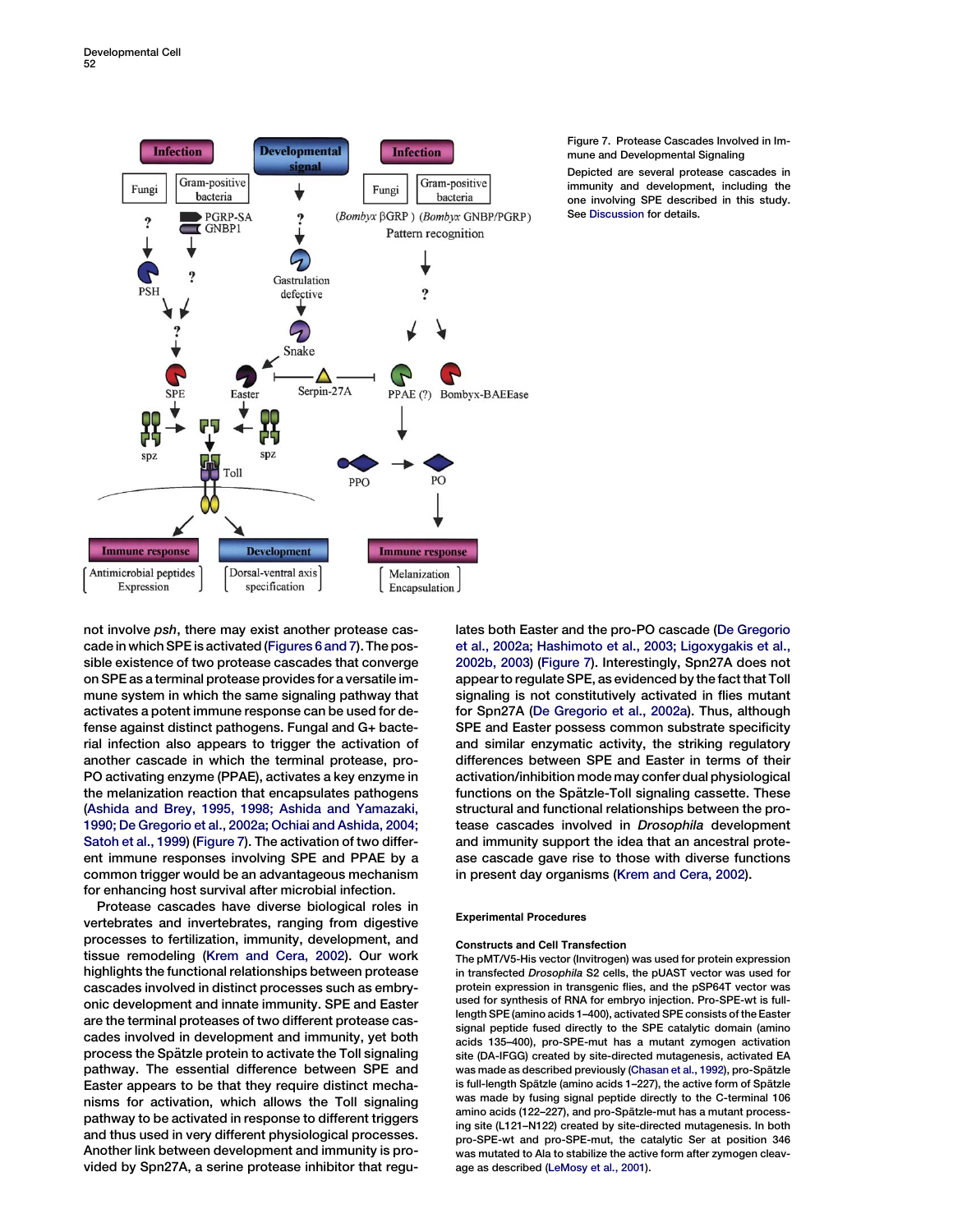<span id="page-7-0"></span>

#### Figure 7. Protease Cascades Involved in Immune and Developmental Signaling

Depicted are several protease cascades in immunity and development, including the one involving SPE described in this study. See [Discussion](#page-6-0) for details.

not involve psh, there may exist another protease cascade in which SPE is activated [\(Figures 6 and 7](#page-6-0)). The possible existence of two protease cascades that converge on SPE as a terminal protease provides for a versatile immune system in which the same signaling pathway that activates a potent immune response can be used for defense against distinct pathogens. Fungal and G+ bacterial infection also appears to trigger the activation of another cascade in which the terminal protease, pro-PO activating enzyme (PPAE), activates a key enzyme in the melanization reaction that encapsulates pathogens [\(Ashida and Brey, 1995, 1998; Ashida and Yamazaki,](#page-8-0) [1990; De Gregorio et al., 2002a; Ochiai and Ashida, 2004;](#page-8-0) [Satoh et al., 1999\)](#page-8-0) (Figure 7). The activation of two different immune responses involving SPE and PPAE by a common trigger would be an advantageous mechanism for enhancing host survival after microbial infection.

Protease cascades have diverse biological roles in vertebrates and invertebrates, ranging from digestive processes to fertilization, immunity, development, and tissue remodeling ([Krem and Cera, 2002](#page-9-0)). Our work highlights the functional relationships between protease cascades involved in distinct processes such as embryonic development and innate immunity. SPE and Easter are the terminal proteases of two different protease cascades involved in development and immunity, yet both process the Spätzle protein to activate the Toll signaling pathway. The essential difference between SPE and Easter appears to be that they require distinct mechanisms for activation, which allows the Toll signaling pathway to be activated in response to different triggers and thus used in very different physiological processes. Another link between development and immunity is provided by Spn27A, a serine protease inhibitor that regulates both Easter and the pro-PO cascade ([De Gregorio](#page-9-0) [et al., 2002a; Hashimoto et al., 2003; Ligoxygakis et al.,](#page-9-0) [2002b, 2003\)](#page-9-0) (Figure 7). Interestingly, Spn27A does not appear to regulate SPE, as evidenced by the fact that Toll signaling is not constitutively activated in flies mutant for Spn27A [\(De Gregorio et al., 2002a\)](#page-9-0). Thus, although SPE and Easter possess common substrate specificity and similar enzymatic activity, the striking regulatory differences between SPE and Easter in terms of their activation/inhibition mode may confer dual physiological functions on the Spätzle-Toll signaling cassette. These structural and functional relationships between the protease cascades involved in Drosophila development and immunity support the idea that an ancestral protease cascade gave rise to those with diverse functions in present day organisms [\(Krem and Cera, 2002\)](#page-9-0).

## Experimental Procedures

## Constructs and Cell Transfection

The pMT/V5-His vector (Invitrogen) was used for protein expression in transfected Drosophila S2 cells, the pUAST vector was used for protein expression in transgenic flies, and the pSP64T vector was used for synthesis of RNA for embryo injection. Pro-SPE-wt is fulllength SPE (amino acids 1–400), activated SPE consists of the Easter signal peptide fused directly to the SPE catalytic domain (amino acids 135–400), pro-SPE-mut has a mutant zymogen activation site (DA-IFGG) created by site-directed mutagenesis, activated EA was made as described previously ([Chasan et al., 1992](#page-9-0)), pro-Spätzle is full-length Spätzle (amino acids 1–227), the active form of Spätzle was made by fusing signal peptide directly to the C-terminal 106 amino acids (122–227), and pro-Spätzle-mut has a mutant processing site (L121–N122) created by site-directed mutagenesis. In both pro-SPE-wt and pro-SPE-mut, the catalytic Ser at position 346 was mutated to Ala to stabilize the active form after zymogen cleavage as described [\(LeMosy et al., 2001\)](#page-9-0).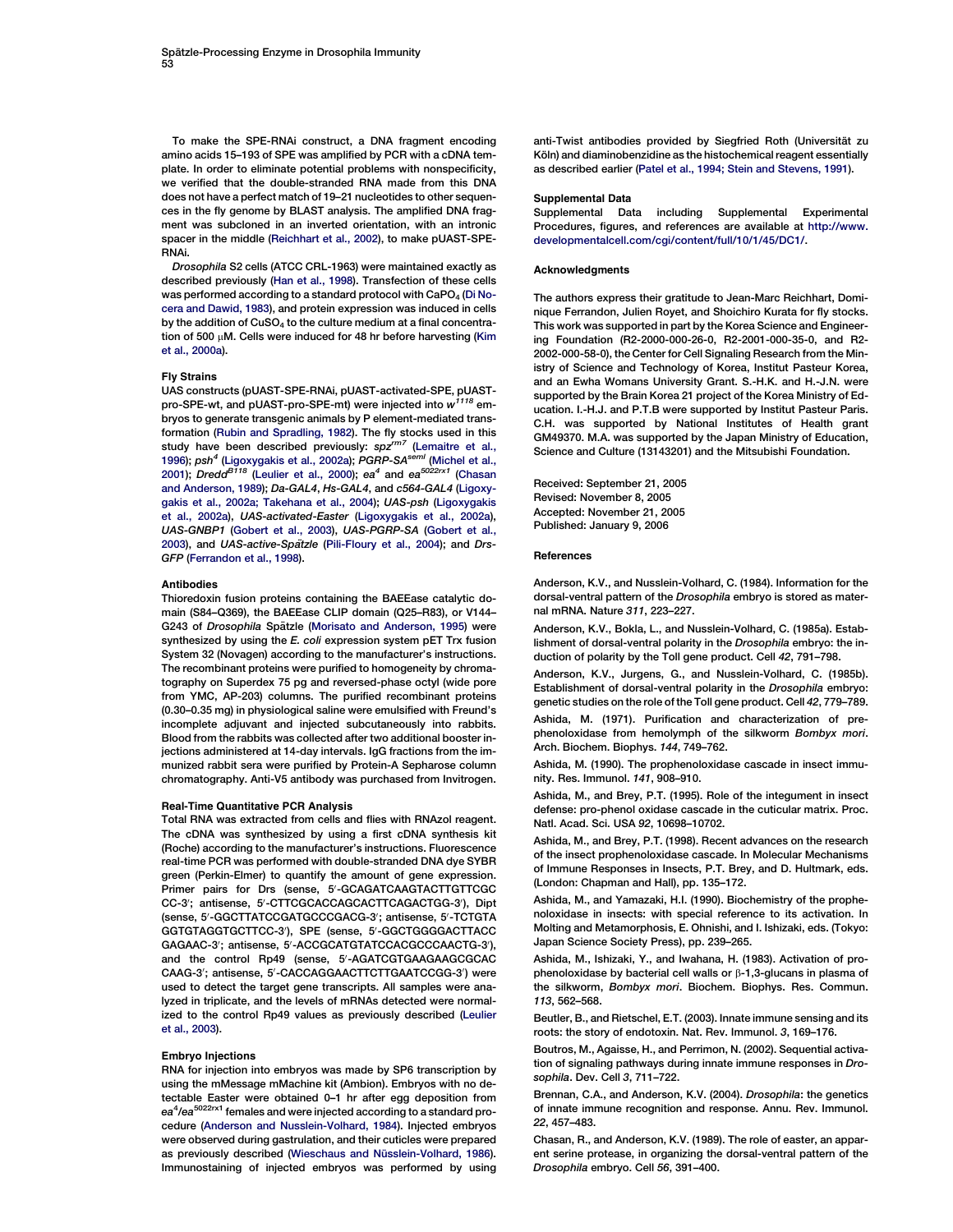<span id="page-8-0"></span>To make the SPE-RNAi construct, a DNA fragment encoding amino acids 15–193 of SPE was amplified by PCR with a cDNA template. In order to eliminate potential problems with nonspecificity, we verified that the double-stranded RNA made from this DNA does not have a perfect match of 19–21 nucleotides to other sequences in the fly genome by BLAST analysis. The amplified DNA fragment was subcloned in an inverted orientation, with an intronic spacer in the middle [\(Reichhart et al., 2002\)](#page-9-0), to make pUAST-SPE-RNAi.

Drosophila S2 cells (ATCC CRL-1963) were maintained exactly as described previously ([Han et al., 1998\)](#page-9-0). Transfection of these cells was performed according to a standard protocol with  $CaPO<sub>4</sub>$  [\(Di No](#page-9-0)[cera and Dawid, 1983](#page-9-0)), and protein expression was induced in cells by the addition of  $CuSO<sub>4</sub>$  to the culture medium at a final concentration of 500  $\mu$ M. Cells were induced for 48 hr before harvesting [\(Kim](#page-9-0) [et al., 2000a\)](#page-9-0).

#### Fly Strains

UAS constructs (pUAST-SPE-RNAi, pUAST-activated-SPE, pUASTpro-SPE-wt, and pUAST-pro-SPE-mt) were injected into  $w^{1118}$  embryos to generate transgenic animals by P element-mediated transformation [\(Rubin and Spradling, 1982](#page-9-0)). The fly stocks used in this study have been described previously: spz<sup>rm7</sup> [\(Lemaitre et al.,](#page-9-0) [1996](#page-9-0)); psh<sup>4</sup> [\(Ligoxygakis et al., 2002a](#page-9-0)); PGRP-SA<sup>semi</sup> ([Michel et al.,](#page-9-0) [2001](#page-9-0)); Dredd<sup>B118</sup> [\(Leulier et al., 2000](#page-9-0)); ea<sup>4</sup> and ea<sup>5022rx1</sup> (Chasan and Anderson, 1989); Da-GAL4, Hs-GAL4, and c564-GAL4 ([Ligoxy](#page-9-0)[gakis et al., 2002a; Takehana et al., 2004](#page-9-0)); UAS-psh ([Ligoxygakis](#page-9-0) [et al., 2002a](#page-9-0)), UAS-activated-Easter [\(Ligoxygakis et al., 2002a](#page-9-0)), UAS-GNBP1 [\(Gobert et al., 2003](#page-9-0)), UAS-PGRP-SA [\(Gobert et al.,](#page-9-0) [2003](#page-9-0)), and UAS-active-Spatzle ([Pili-Floury et al., 2004\)](#page-9-0); and Drs-GFP ([Ferrandon et al., 1998](#page-9-0)).

#### Antibodies

Thioredoxin fusion proteins containing the BAEEase catalytic domain (S84–Q369), the BAEEase CLIP domain (Q25–R83), or V144– G243 of Drosophila Spätzle [\(Morisato and Anderson, 1995](#page-9-0)) were synthesized by using the E. coli expression system pET Trx fusion System 32 (Novagen) according to the manufacturer's instructions. The recombinant proteins were purified to homogeneity by chromatography on Superdex 75 pg and reversed-phase octyl (wide pore from YMC, AP-203) columns. The purified recombinant proteins (0.30–0.35 mg) in physiological saline were emulsified with Freund's incomplete adjuvant and injected subcutaneously into rabbits. Blood from the rabbits was collected after two additional booster injections administered at 14-day intervals. IgG fractions from the immunized rabbit sera were purified by Protein-A Sepharose column chromatography. Anti-V5 antibody was purchased from Invitrogen.

#### Real-Time Quantitative PCR Analysis

Total RNA was extracted from cells and flies with RNAzol reagent. The cDNA was synthesized by using a first cDNA synthesis kit (Roche) according to the manufacturer's instructions. Fluorescence real-time PCR was performed with double-stranded DNA dye SYBR green (Perkin-Elmer) to quantify the amount of gene expression. Primer pairs for Drs (sense, 5'-GCAGATCAAGTACTTGTTCGC CC-3'; antisense, 5'-CTTCGCACCAGCACTTCAGACTGG-3'), Dipt (sense, 5'-GGCTTATCCGATGCCCGACG-3'; antisense, 5'-TCTGTA GGTGTAGGTGCTTCC-3'), SPE (sense, 5'-GGCTGGGGACTTACC GAGAAC-3'; antisense, 5'-ACCGCATGTATCCACGCCCAACTG-3'), and the control Rp49 (sense, 5'-AGATCGTGAAGAAGCGCAC CAAG-3'; antisense, 5'-CACCAGGAACTTCTTGAATCCGG-3') were used to detect the target gene transcripts. All samples were analyzed in triplicate, and the levels of mRNAs detected were normalized to the control Rp49 values as previously described [\(Leulier](#page-9-0) [et al., 2003\)](#page-9-0).

#### Embryo Injections

RNA for injection into embryos was made by SP6 transcription by using the mMessage mMachine kit (Ambion). Embryos with no detectable Easter were obtained 0–1 hr after egg deposition from ea<sup>4</sup>/ea<sup>5022rx1</sup> females and were injected according to a standard procedure (Anderson and Nusslein-Volhard, 1984). Injected embryos were observed during gastrulation, and their cuticles were prepared as previously described (Wieschaus and Nüsslein-Volhard, 1986). Immunostaining of injected embryos was performed by using

anti-Twist antibodies provided by Siegfried Roth (Universität zu Köln) and diaminobenzidine as the histochemical reagent essentially as described earlier [\(Patel et al., 1994; Stein and Stevens, 1991](#page-9-0)).

#### Supplemental Data

Supplemental Data including Supplemental Experimental Procedures, figures, and references are available at [http://www.](http://www.developmentalcell.com/cgi/content/full/10/1/45/DC1/) [developmentalcell.com/cgi/content/full/10/1/45/DC1/](http://www.developmentalcell.com/cgi/content/full/10/1/45/DC1/).

#### Acknowledgments

The authors express their gratitude to Jean-Marc Reichhart, Dominique Ferrandon, Julien Royet, and Shoichiro Kurata for fly stocks. This work was supported in part by the Korea Science and Engineering Foundation (R2-2000-000-26-0, R2-2001-000-35-0, and R2- 2002-000-58-0), the Center for Cell Signaling Research from the Ministry of Science and Technology of Korea, Institut Pasteur Korea, and an Ewha Womans University Grant. S.-H.K. and H.-J.N. were supported by the Brain Korea 21 project of the Korea Ministry of Education. I.-H.J. and P.T.B were supported by Institut Pasteur Paris. C.H. was supported by National Institutes of Health grant GM49370. M.A. was supported by the Japan Ministry of Education, Science and Culture (13143201) and the Mitsubishi Foundation.

Received: September 21, 2005 Revised: November 8, 2005 Accepted: November 21, 2005 Published: January 9, 2006

#### References

Anderson, K.V., and Nusslein-Volhard, C. (1984). Information for the dorsal-ventral pattern of the Drosophila embryo is stored as maternal mRNA. Nature 311, 223–227.

Anderson, K.V., Bokla, L., and Nusslein-Volhard, C. (1985a). Establishment of dorsal-ventral polarity in the Drosophila embryo: the induction of polarity by the Toll gene product. Cell 42, 791–798.

Anderson, K.V., Jurgens, G., and Nusslein-Volhard, C. (1985b). Establishment of dorsal-ventral polarity in the Drosophila embryo: genetic studies on the role of the Toll gene product. Cell 42, 779–789.

Ashida, M. (1971). Purification and characterization of prephenoloxidase from hemolymph of the silkworm Bombyx mori. Arch. Biochem. Biophys. 144, 749–762.

Ashida, M. (1990). The prophenoloxidase cascade in insect immunity. Res. Immunol. 141, 908–910.

Ashida, M., and Brey, P.T. (1995). Role of the integument in insect defense: pro-phenol oxidase cascade in the cuticular matrix. Proc. Natl. Acad. Sci. USA 92, 10698–10702.

Ashida, M., and Brey, P.T. (1998). Recent advances on the research of the insect prophenoloxidase cascade. In Molecular Mechanisms of Immune Responses in Insects, P.T. Brey, and D. Hultmark, eds. (London: Chapman and Hall), pp. 135–172.

Ashida, M., and Yamazaki, H.I. (1990). Biochemistry of the prophenoloxidase in insects: with special reference to its activation. In Molting and Metamorphosis, E. Ohnishi, and I. Ishizaki, eds. (Tokyo: Japan Science Society Press), pp. 239–265.

Ashida, M., Ishizaki, Y., and Iwahana, H. (1983). Activation of prophenoloxidase by bacterial cell walls or  $\beta$ -1,3-glucans in plasma of the silkworm, Bombyx mori. Biochem. Biophys. Res. Commun. 113, 562–568.

Beutler, B., and Rietschel, E.T. (2003). Innate immune sensing and its roots: the story of endotoxin. Nat. Rev. Immunol. 3, 169–176.

Boutros, M., Agaisse, H., and Perrimon, N. (2002). Sequential activation of signaling pathways during innate immune responses in Drosophila. Dev. Cell 3, 711–722.

Brennan, C.A., and Anderson, K.V. (2004). Drosophila: the genetics of innate immune recognition and response. Annu. Rev. Immunol. 22, 457–483.

Chasan, R., and Anderson, K.V. (1989). The role of easter, an apparent serine protease, in organizing the dorsal-ventral pattern of the Drosophila embryo. Cell 56, 391–400.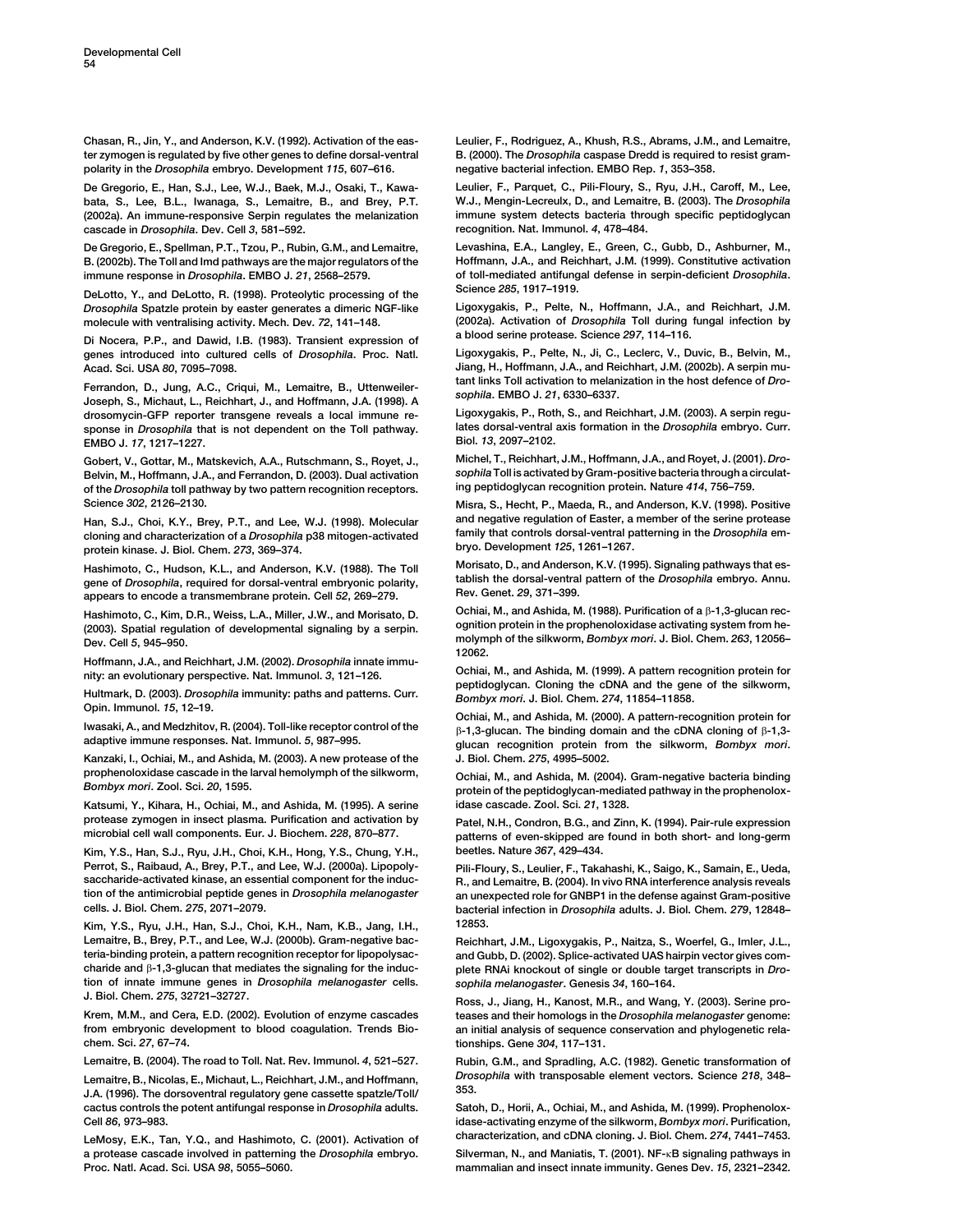<span id="page-9-0"></span>Chasan, R., Jin, Y., and Anderson, K.V. (1992). Activation of the easter zymogen is regulated by five other genes to define dorsal-ventral polarity in the Drosophila embryo. Development 115, 607–616.

De Gregorio, E., Han, S.J., Lee, W.J., Baek, M.J., Osaki, T., Kawabata, S., Lee, B.L., Iwanaga, S., Lemaitre, B., and Brey, P.T. (2002a). An immune-responsive Serpin regulates the melanization cascade in Drosophila. Dev. Cell 3, 581–592.

De Gregorio, E., Spellman, P.T., Tzou, P., Rubin, G.M., and Lemaitre, B. (2002b). The Toll and Imd pathways are the major regulators of the immune response in Drosophila. EMBO J. 21, 2568–2579.

DeLotto, Y., and DeLotto, R. (1998). Proteolytic processing of the Drosophila Spatzle protein by easter generates a dimeric NGF-like molecule with ventralising activity. Mech. Dev. 72, 141–148.

Di Nocera, P.P., and Dawid, I.B. (1983). Transient expression of genes introduced into cultured cells of Drosophila. Proc. Natl. Acad. Sci. USA 80, 7095–7098.

Ferrandon, D., Jung, A.C., Criqui, M., Lemaitre, B., Uttenweiler-Joseph, S., Michaut, L., Reichhart, J., and Hoffmann, J.A. (1998). A drosomycin-GFP reporter transgene reveals a local immune response in Drosophila that is not dependent on the Toll pathway. EMBO J. 17, 1217–1227.

Gobert, V., Gottar, M., Matskevich, A.A., Rutschmann, S., Royet, J., Belvin, M., Hoffmann, J.A., and Ferrandon, D. (2003). Dual activation of the Drosophila toll pathway by two pattern recognition receptors. Science 302, 2126–2130.

Han, S.J., Choi, K.Y., Brey, P.T., and Lee, W.J. (1998). Molecular cloning and characterization of a Drosophila p38 mitogen-activated protein kinase. J. Biol. Chem. 273, 369–374.

Hashimoto, C., Hudson, K.L., and Anderson, K.V. (1988). The Toll gene of Drosophila, required for dorsal-ventral embryonic polarity, appears to encode a transmembrane protein. Cell 52, 269–279.

Hashimoto, C., Kim, D.R., Weiss, L.A., Miller, J.W., and Morisato, D. (2003). Spatial regulation of developmental signaling by a serpin. Dev. Cell 5, 945–950.

Hoffmann, J.A., and Reichhart, J.M. (2002). Drosophila innate immunity: an evolutionary perspective. Nat. Immunol. 3, 121–126.

Hultmark, D. (2003). Drosophila immunity: paths and patterns. Curr. Opin. Immunol. 15, 12–19.

Iwasaki, A., and Medzhitov, R. (2004). Toll-like receptor control of the adaptive immune responses. Nat. Immunol. 5, 987–995.

Kanzaki, I., Ochiai, M., and Ashida, M. (2003). A new protease of the prophenoloxidase cascade in the larval hemolymph of the silkworm, Bombyx mori. Zool. Sci. 20, 1595.

Katsumi, Y., Kihara, H., Ochiai, M., and Ashida, M. (1995). A serine protease zymogen in insect plasma. Purification and activation by microbial cell wall components. Eur. J. Biochem. 228, 870–877.

Kim, Y.S., Han, S.J., Ryu, J.H., Choi, K.H., Hong, Y.S., Chung, Y.H., Perrot, S., Raibaud, A., Brey, P.T., and Lee, W.J. (2000a). Lipopolysaccharide-activated kinase, an essential component for the induction of the antimicrobial peptide genes in Drosophila melanogaster cells. J. Biol. Chem. 275, 2071–2079.

Kim, Y.S., Ryu, J.H., Han, S.J., Choi, K.H., Nam, K.B., Jang, I.H., Lemaitre, B., Brey, P.T., and Lee, W.J. (2000b). Gram-negative bacteria-binding protein, a pattern recognition receptor for lipopolysaccharide and  $\beta$ -1,3-glucan that mediates the signaling for the induction of innate immune genes in Drosophila melanogaster cells. J. Biol. Chem. 275, 32721–32727.

Krem, M.M., and Cera, E.D. (2002). Evolution of enzyme cascades from embryonic development to blood coagulation. Trends Biochem. Sci. 27, 67–74.

Lemaitre, B. (2004). The road to Toll. Nat. Rev. Immunol. 4, 521–527.

Lemaitre, B., Nicolas, E., Michaut, L., Reichhart, J.M., and Hoffmann, J.A. (1996). The dorsoventral regulatory gene cassette spatzle/Toll/ cactus controls the potent antifungal response in Drosophila adults. Cell 86, 973–983.

LeMosy, E.K., Tan, Y.Q., and Hashimoto, C. (2001). Activation of a protease cascade involved in patterning the Drosophila embryo. Proc. Natl. Acad. Sci. USA 98, 5055–5060.

Leulier, F., Rodriguez, A., Khush, R.S., Abrams, J.M., and Lemaitre, B. (2000). The Drosophila caspase Dredd is required to resist gramnegative bacterial infection. EMBO Rep. 1, 353–358.

Leulier, F., Parquet, C., Pili-Floury, S., Ryu, J.H., Caroff, M., Lee, W.J., Mengin-Lecreulx, D., and Lemaitre, B. (2003). The Drosophila immune system detects bacteria through specific peptidoglycan recognition. Nat. Immunol. 4, 478–484.

Levashina, E.A., Langley, E., Green, C., Gubb, D., Ashburner, M., Hoffmann, J.A., and Reichhart, J.M. (1999). Constitutive activation of toll-mediated antifungal defense in serpin-deficient Drosophila. Science 285, 1917–1919.

Ligoxygakis, P., Pelte, N., Hoffmann, J.A., and Reichhart, J.M. (2002a). Activation of Drosophila Toll during fungal infection by a blood serine protease. Science 297, 114–116.

Ligoxygakis, P., Pelte, N., Ji, C., Leclerc, V., Duvic, B., Belvin, M., Jiang, H., Hoffmann, J.A., and Reichhart, J.M. (2002b). A serpin mutant links Toll activation to melanization in the host defence of Drosophila. EMBO J. 21, 6330–6337.

Ligoxygakis, P., Roth, S., and Reichhart, J.M. (2003). A serpin regulates dorsal-ventral axis formation in the Drosophila embryo. Curr. Biol. 13, 2097–2102.

Michel, T., Reichhart, J.M., Hoffmann, J.A., and Royet, J. (2001). Drosophila Toll is activated by Gram-positive bacteria through a circulating peptidoglycan recognition protein. Nature 414, 756–759.

Misra, S., Hecht, P., Maeda, R., and Anderson, K.V. (1998). Positive and negative regulation of Easter, a member of the serine protease family that controls dorsal-ventral patterning in the Drosophila embryo. Development 125, 1261–1267.

Morisato, D., and Anderson, K.V. (1995). Signaling pathways that establish the dorsal-ventral pattern of the Drosophila embryo. Annu. Rev. Genet. 29, 371–399.

Ochiai, M., and Ashida, M. (1988). Purification of a  $\beta$ -1,3-glucan recognition protein in the prophenoloxidase activating system from hemolymph of the silkworm, Bombyx mori. J. Biol. Chem. 263, 12056– 12062.

Ochiai, M., and Ashida, M. (1999). A pattern recognition protein for peptidoglycan. Cloning the cDNA and the gene of the silkworm, Bombyx mori. J. Biol. Chem. 274, 11854–11858.

Ochiai, M., and Ashida, M. (2000). A pattern-recognition protein for  $\beta$ -1,3-glucan. The binding domain and the cDNA cloning of  $\beta$ -1,3glucan recognition protein from the silkworm, Bombyx mori. J. Biol. Chem. 275, 4995–5002.

Ochiai, M., and Ashida, M. (2004). Gram-negative bacteria binding protein of the peptidoglycan-mediated pathway in the prophenoloxidase cascade. Zool. Sci. 21, 1328.

Patel, N.H., Condron, B.G., and Zinn, K. (1994). Pair-rule expression patterns of even-skipped are found in both short- and long-germ beetles. Nature 367, 429–434.

Pili-Floury, S., Leulier, F., Takahashi, K., Saigo, K., Samain, E., Ueda, R., and Lemaitre, B. (2004). In vivo RNA interference analysis reveals an unexpected role for GNBP1 in the defense against Gram-positive bacterial infection in Drosophila adults. J. Biol. Chem. 279, 12848– 12853.

Reichhart, J.M., Ligoxygakis, P., Naitza, S., Woerfel, G., Imler, J.L., and Gubb, D. (2002). Splice-activated UAS hairpin vector gives complete RNAi knockout of single or double target transcripts in Drosophila melanogaster. Genesis 34, 160–164.

Ross, J., Jiang, H., Kanost, M.R., and Wang, Y. (2003). Serine proteases and their homologs in the Drosophila melanogaster genome: an initial analysis of sequence conservation and phylogenetic relationships. Gene 304, 117–131.

Rubin, G.M., and Spradling, A.C. (1982). Genetic transformation of Drosophila with transposable element vectors. Science 218, 348– 353.

Satoh, D., Horii, A., Ochiai, M., and Ashida, M. (1999). Prophenoloxidase-activating enzyme of the silkworm, Bombyx mori. Purification, characterization, and cDNA cloning. J. Biol. Chem. 274, 7441–7453.

Silverman, N., and Maniatis, T. (2001). NF-KB signaling pathways in mammalian and insect innate immunity. Genes Dev. 15, 2321–2342.